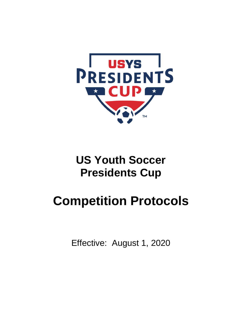

### **US Youth Soccer Presidents Cup**

# **Competition Protocols**

Effective: August 1, 2020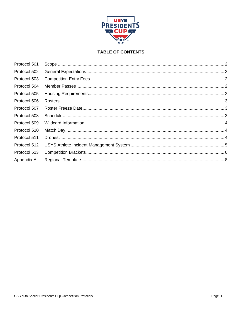

### **TABLE OF CONTENTS**

| Protocol 501 |  |
|--------------|--|
| Protocol 502 |  |
| Protocol 503 |  |
| Protocol 504 |  |
| Protocol 505 |  |
| Protocol 506 |  |
| Protocol 507 |  |
| Protocol 508 |  |
| Protocol 509 |  |
| Protocol 510 |  |
| Protocol 511 |  |
| Protocol 512 |  |
| Protocol 513 |  |
| Appendix A   |  |
|              |  |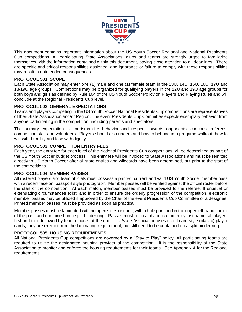

This document contains important information about the US Youth Soccer Regional and National Presidents Cup competitions. All participating State Associations, clubs and teams are strongly urged to familiarize themselves with the information contained within this document, paying close attention to all deadlines. There are specific and critical responsibilities assigned, and ignorance or failure to comply with those responsibilities may result in unintended consequences.

#### <span id="page-2-0"></span>**PROTOCOL 501 SCOPE**

Each State Association may enter one (1) male and one (1) female team in the 13U, 14U, 15U, 16U, 17U and 18/19U age groups. Competitions may be organized for qualifying players in the 12U and 19U age groups for both boys and girls as defined by Rule 104 of the US Youth Soccer Policy on Players and Playing Rules and will conclude at the Regional Presidents Cup level.

#### <span id="page-2-1"></span>**PROTOCOL 502 GENERAL EXPECTATIONS**

Teams and players competing in the US Youth Soccer National Presidents Cup competitions are representatives of their State Association and/or Region. The event Presidents Cup Committee expects exemplary behavior from anyone participating in the competition, including parents and spectators.

The primary expectation is sportsmanlike behavior and respect towards opponents, coaches, referees, competition staff and volunteers. Players should also understand how to behave in a pregame walkout, how to win with humility and lose with dignity.

#### <span id="page-2-2"></span>**PROTOCOL 503 COMPETITION ENTRY FEES**

Each year, the entry fee for each level of the National Presidents Cup competitions will be determined as part of the US Youth Soccer budget process. This entry fee will be invoiced to State Associations and must be remitted directly to US Youth Soccer after all state entries and wildcards have been determined, but prior to the start of the competitions.

#### <span id="page-2-3"></span>**PROTOCOL 504 MEMBER PASSES**

All rostered players and team officials must possess a printed, current and valid US Youth Soccer member pass with a recent face on, passport style photograph. Member passes will be verified against the official roster before the start of the competition. At each match, member passes must be provided to the referee. If unusual or extenuating circumstances exist, and in order to ensure the orderly progression of the competition, electronic member passes may be utilized if approved by the Chair of the event Presidents Cup Committee or a designee. Printed member passes must be provided as soon as practical.

Member passes must be laminated with no open sides or ends, with a hole punched in the upper left-hand corner of the pass and contained on a split binder ring. Passes must be in alphabetical order by last name, all players first and then followed by team officials at the end. If a State Association uses credit card style (plastic) player cards, they are exempt from the laminating requirement, but still need to be contained on a split binder ring.

#### <span id="page-2-4"></span>**PROTOCOL 505 HOUSING REQUIREMENTS**

All National Presidents Cup competitions are governed by a "Stay to Play" policy. All participating teams are required to utilize the designated housing provider of the competition. It is the responsibility of the State Association to monitor and enforce the housing requirements for their teams. See Appendix A for the Regional requirements.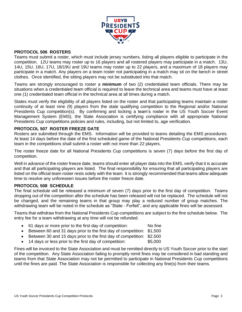

#### <span id="page-3-0"></span>**PROTOCOL 506 ROSTERS**

Teams must submit a roster, which must include jersey numbers, listing all players eligible to participate in the competition. 12U teams may roster up to 16 players and all rostered players may participate in a match. 13U, 14U, 15U, 16U, 17U, 18/19U and 19U teams may roster up to 22 players, and a maximum of 18 players may participate in a match. Any players on a team roster not participating in a match may sit on the bench in street clothes. Once identified, the sitting players may not be substituted into that match.

Teams are strongly encouraged to roster a **minimum** of two (2) credentialed team officials. There may be situations when a credentialed team official is required to leave the technical area and teams must have at least one (1) credentialed team official in the technical area at all times during a match.

States must verify the eligibility of all players listed on the roster and that participating teams maintain a roster continuity of at least nine (9) players from the state qualifying competition to the Regional and/or National Presidents Cup competition(s). By confirming and locking a team's roster in the US Youth Soccer Event Management System (EMS), the State Association is certifying compliance with all appropriate National Presidents Cup competitions policies and rules, including, but not limited to, age verification.

#### <span id="page-3-1"></span>**PROTOCOL 507 ROSTER FREEZE DATE**

Rosters are submitted through the EMS. Information will be provided to teams detailing the EMS procedures. At least 14 days before the date of the first scheduled game of the National Presidents Cup competitions, each team in the competitions shall submit a roster with not more than 22 players.

The roster freeze date for all National Presidents Cup competitions is seven (7) days before the first day of competition.

Well in advance of the roster freeze date, teams should enter all player data into the EMS, verify that it is accurate and that all participating players are listed. The final responsibility for ensuring that all participating players are listed on the official team roster rests solely with the team. It is strongly recommended that teams allow adequate time to resolve any unforeseen issues before the roster freeze date.

#### <span id="page-3-2"></span>**PROTOCOL 508 SCHEDULE**

The final schedule will be released a minimum of seven (7) days prior to the first day of competition. Teams dropping out of the competition after the schedule has been released will not be replaced. The schedule will not be changed, and the remaining teams in that group may play a reduced number of group matches. The withdrawing team will be noted in the schedule as "State - Forfeit", and any applicable fines will be assessed.

Teams that withdraw from the National Presidents Cup competitions are subject to the fine schedule below. The entry fee for a team withdrawing at any time will not be refunded.

- 61 days or more prior to the first day of competition: No fine
- Between 60 and 31 days prior to the first day of competition: \$1,500
- Between 30 and 15 days prior to the first day of competition: \$2,500
- 14 days or less prior to the first day of competition: \$5,000

Fines will be invoiced to the State Association and must be remitted directly to US Youth Soccer prior to the start of the competition. Any State Association failing to promptly remit fines may be considered in bad standing and teams from that State Association may not be permitted to participate in National Presidents Cup competitions until the fines are paid. The State Association is responsible for collecting any fine(s) from their teams.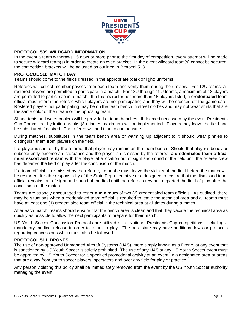

#### <span id="page-4-0"></span>**PROTOCOL 509 WILDCARD INFORMATION**

In the event a team withdraws 15 days or more prior to the first day of competition, every attempt will be made to secure wildcard team(s) in order to create an even bracket. In the event wildcard team(s) cannot be secured, the competition brackets will be adjusted as outlined in Protocol 513.

#### <span id="page-4-1"></span>**PROTOCOL 510 MATCH DAY**

Teams should come to the fields dressed in the appropriate (dark or light) uniforms.

Referees will collect member passes from each team and verify them during their review. For 12U teams, all rostered players are permitted to participate in a match. For 13U through 19U teams, a maximum of 18 players are permitted to participate in a match. If a team's roster has more than 18 players listed, a **credentialed** team official must inform the referee which players are not participating and they will be crossed off the game card. Rostered players not participating may be on the team bench in street clothes and may not wear shirts that are the same color of their team or the opposing team.

Shade tents and water coolers will be provided at team benches. If deemed necessary by the event Presidents Cup Committee, hydration breaks (3-minutes maximum) will be implemented. Players may leave the field and be substituted if desired. The referee will add time to compensate.

During matches, substitutes in the team bench area or warming up adjacent to it should wear pinnies to distinguish them from players on the field.

If a player is sent off by the referee, that player may remain on the team bench. Should that player's behavior subsequently become a disturbance and the player is dismissed by the referee, **a credentialed team official must escort and remain with** the player at a location out of sight and sound of the field until the referee crew has departed the field of play after the conclusion of the match.

If a team official is dismissed by the referee, he or she must leave the vicinity of the field before the match will be restarted. It is the responsibility of the State Representative or a designee to ensure that the dismissed team official remains out of sight and sound of the field until the referee crew has departed the field of play after the conclusion of the match.

Teams are strongly encouraged to roster a **minimum** of two (2) credentialed team officials. As outlined, there may be situations when a credentialed team official is required to leave the technical area and all teams must have at least one (1) credentialed team official in the technical area at all times during a match.

After each match, teams should ensure that the bench area is clean and that they vacate the technical area as quickly as possible to allow the next participants to prepare for their match.

US Youth Soccer Concussion Protocols are utilized at all National Presidents Cup competitions, including a mandatory medical release in order to return to play. The host state may have additional laws or protocols regarding concussions which must also be followed.

#### <span id="page-4-2"></span>**PROTOCOL 511 DRONES**

The use of non-approved Unmanned Aircraft Systems (UAS), more simply known as a Drone, at any event that is sanctioned by US Youth Soccer is strictly prohibited. The use of any UAS at any US Youth Soccer event must be approved by US Youth Soccer for a specified promotional activity at an event, in a designated area or areas that are away from youth soccer players, spectators and over any field for play or practice.

Any person violating this policy shall be immediately removed from the event by the US Youth Soccer authority managing the event.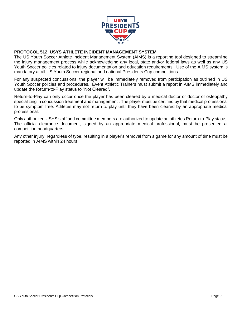

#### <span id="page-5-0"></span>**PROTOCOL 512 USYS ATHLETE INCIDENT MANAGEMENT SYSTEM**

The US Youth Soccer Athlete Incident Management System (AIMS) is a reporting tool designed to streamline the injury management process while acknowledging any local, state and/or federal laws as well as any US Youth Soccer policies related to injury documentation and education requirements. Use of the AIMS system is mandatory at all US Youth Soccer regional and national Presidents Cup competitions.

For any suspected concussions, the player will be immediately removed from participation as outlined in US Youth Soccer policies and procedures. Event Athletic Trainers must submit a report in AIMS immediately and update the Return-to-Play status to "Not Cleared".

Return-to-Play can only occur once the player has been cleared by a medical doctor or doctor of osteopathy specializing in concussion treatment and management . The player must be certified by that medical professional to be symptom free. Athletes may not return to play until they have been cleared by an appropriate medical professional.

Only authorized USYS staff and committee members are authorized to update an athletes Return-to-Play status. The official clearance document, signed by an appropriate medical professional, must be presented at competition headquarters.

Any other injury, regardless of type, resulting in a player's removal from a game for any amount of time must be reported in AIMS within 24 hours.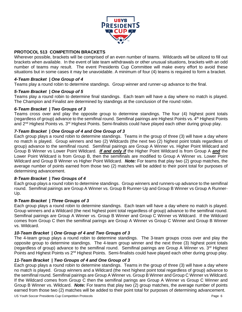

#### <span id="page-6-0"></span>**PROTOCOL 513 COMPETITION BRACKETS**

Wherever possible, brackets will be comprised of an even number of teams. Wildcards will be utilized to fill out brackets when available. In the event of late team withdrawals or other unusual situations, brackets with an odd number of teams may result. The event Presidents Cup Committee will make every effort to avoid these situations but in some cases it may be unavoidable. A minimum of four (4) teams is required to form a bracket.

#### *4-Team Bracket | One Group of 4*

Teams play a round robin to determine standings. Group winner and runner-up advance to the final.

#### *5-Team Bracket | One Group of 5*

Teams play a round robin to determine final standings. Each team will have a day where no match is played. The Champion and Finalist are determined by standings at the conclusion of the round robin.

#### *6-Team Bracket | Two Groups of 3*

Teams cross over and play the opposite group to determine standings. The four (4) highest point totals (regardless of group) advance to the semifinal round. Semifinal pairings are Highest Points vs. 4th Highest Points and 2<sup>nd</sup> Highest Points vs. 3<sup>rd</sup> Highest Points. Semi-finalists could have played each other during group play.

#### *7-Team Bracket | One Group of 4 and One Group of 3*

Each group plays a round robin to determine standings. Teams in the group of three (3) will have a day where no match is played. Group winners and two (2) Wildcards (the next two (2) highest point totals regardless of group) advance to the semifinal round. Semifinal pairings are Group A Winner vs. Higher Point Wildcard and Group B Winner vs Lower Point Wildcard. *If and only if* the Higher Point Wildcard is from Group A *and* the Lower Point Wildcard is from Group B, then the semifinals are modified to Group A Winner vs. Lower Point Wildcard and Group B Winner vs Higher Point Wildcard. *Note:* For teams that play two (2) group matches, the average number of points earned from those two (2) matches will be added to their point total for purposes of determining advancement.

#### *8-Team Bracket | Two Groups of 4*

Each group plays a round robin to determine standings. Group winners and runners-up advance to the semifinal round. Semifinal pairings are Group A Winner vs. Group B Runner-Up and Group B Winner vs Group A Runner-Up.

#### *9-Team Bracket | Three Groups of 3*

Each group plays a round robin to determine standings. Each team will have a day where no match is played. Group winners and a Wildcard (the next highest point total regardless of group) advance to the semifinal round. Semifinal pairings are Group A Winner vs. Group B Winner and Group C Winner vs Wildcard. If the Wildcard comes from Group C then the semifinal parings are Group A Winner vs Group C Winner and Group B Winner vs. Wildcard.

#### *10-Team Bracket | One Group of 4 and Two Groups of 3*

The 4-team group plays a round robin to determine standings. The 3-team groups cross over and play the opposite group to determine standings. The 4-team group winner and the next three (3) highest point totals (regardless of group) advance to the semifinal round. Semifinal pairings are Group A Winner vs. 3<sup>rd</sup> Highest Points and Highest Points vs 2<sup>nd</sup> Highest Points. Semi-finalists could have played each other during group play.

#### *11-Team Bracket | Two Groups of 4 and One Group of 3*

Each group plays a round robin to determine standings. Teams in the group of three (3) will have a day where no match is played. Group winners and a Wildcard (the next highest point total regardless of group) advance to the semifinal round. Semifinal pairings are Group A Winner vs. Group B Winner and Group C Winner vs Wildcard. If the Wildcard comes from Group C then the semifinal parings are Group A Winner vs Group C Winner and Group B Winner vs. Wildcard. *Note:* For teams that play two (2) group matches, the average number of points earned from those two (2) matches will be added to their point total for purposes of determining advancement.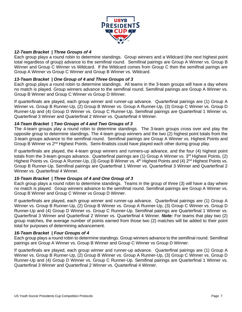

#### *12-Team Bracket | Three Groups of 4*

Each group plays a round robin to determine standings. Group winners and a Wildcard (the next highest point total regardless of group) advance to the semifinal round. Semifinal pairings are Group A Winner vs. Group B Winner and Group C Winner vs Wildcard. If the Wildcard comes from Group C then the semifinal parings are Group A Winner vs Group C Winner and Group B Winner vs. Wildcard.

#### *13-Team Bracket | One Group of 4 and Three Groups of 3*

Each group plays a round robin to determine standings. All teams in the 3-team groups will have a day where no match is played. Group winners advance to the semifinal round. Semifinal pairings are Group A Winner vs. Group B Winner and Group C Winner vs Group D Winner.

If quarterfinals are played, each group winner and runner-up advance. Quarterfinal pairings are (1) Group A Winner vs. Group B Runner-Up, (2) Group B Winner vs. Group A Runner-Up, (3) Group C Winner vs. Group D Runner-Up and (4) Group D Winner vs. Group C Runner-Up. Semifinal pairings are Quarterfinal 1 Winner vs. Quarterfinal 3 Winner and Quarterfinal 2 Winner vs. Quarterfinal 4 Winner.

#### *14-Team Bracket | Two Groups of 4 and Two Groups of 3*

The 4-team groups play a round robin to determine standings. The 3-team groups cross over and play the opposite group to determine standings. The 4-team group winners and the two (2) highest point totals from the 3-team groups advance to the semifinal round. Semifinal pairings are Group A Winner vs. Highest Points and Group B Winner vs 2<sup>nd</sup> Highest Points. Semi-finalists could have played each other during group play.

If quarterfinals are played, the 4-team group winners and runners-up advance, and the four (4) highest point totals from the 3-team groups advance. Quarterfinal pairings are (1) Group A Winner vs. 3<sup>rd</sup> Highest Points, (2) Highest Points vs. Group A Runner-Up, (3) Group B Winner vs. 4<sup>th</sup> Highest Points and (4) 2<sup>nd</sup> Highest Points vs. Group B Runner-Up. Semifinal pairings are Quarterfinal 1 Winner vs. Quarterfinal 3 Winner and Quarterfinal 2 Winner vs. Quarterfinal 4 Winner.

#### *15-Team Bracket | Three Groups of 4 and One Group of 3*

Each group plays a round robin to determine standings. Teams in the group of three (3) will have a day where no match is played. Group winners advance to the semifinal round. Semifinal pairings are Group A Winner vs. Group B Winner and Group C Winner vs Group D Winner.

If quarterfinals are played, each group winner and runner-up advance. Quarterfinal pairings are (1) Group A Winner vs. Group B Runner-Up, (2) Group B Winner vs. Group A Runner-Up, (3) Group C Winner vs. Group D Runner-Up and (4) Group D Winner vs. Group C Runner-Up. Semifinal pairings are Quarterfinal 1 Winner vs. Quarterfinal 3 Winner and Quarterfinal 2 Winner vs. Quarterfinal 4 Winner. *Note:* For teams that play two (2) group matches, the average number of points earned from those two (2) matches will be added to their point total for purposes of determining advancement.

#### *16-Team Bracket | Four Groups of 4*

Each group plays a round robin to determine standings. Group winners advance to the semifinal round. Semifinal pairings are Group A Winner vs. Group B Winner and Group C Winner vs Group D Winner.

If quarterfinals are played, each group winner and runner-up advance. Quarterfinal pairings are (1) Group A Winner vs. Group B Runner-Up, (2) Group B Winner vs. Group A Runner-Up, (3) Group C Winner vs. Group D Runner-Up and (4) Group D Winner vs. Group C Runner-Up. Semifinal pairings are Quarterfinal 1 Winner vs. Quarterfinal 3 Winner and Quarterfinal 2 Winner vs. Quarterfinal 4 Winner.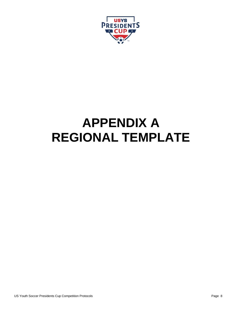

## <span id="page-8-0"></span>**APPENDIX A REGIONAL TEMPLATE**